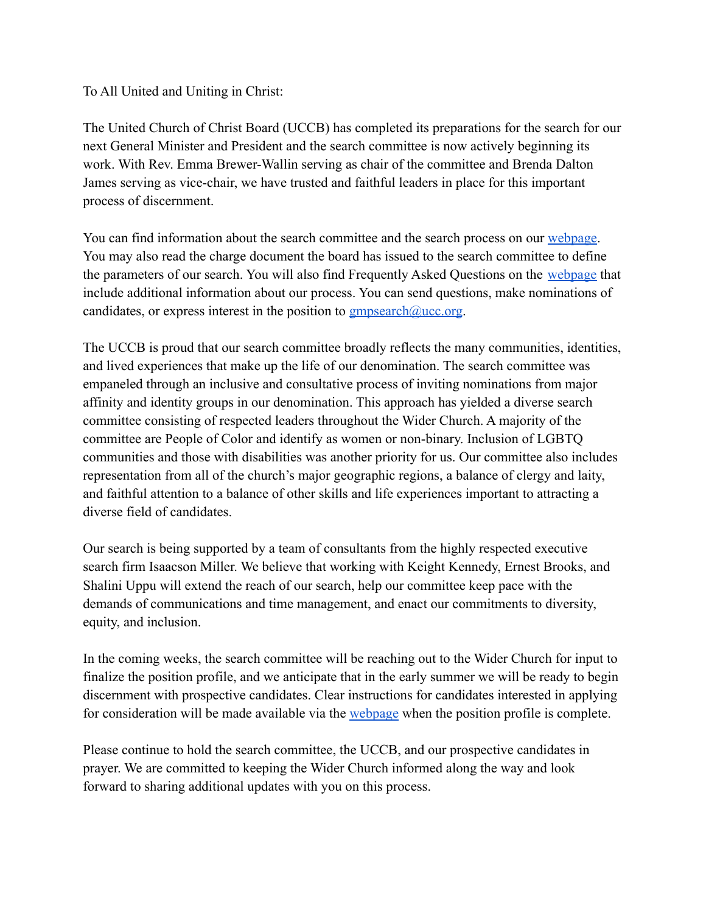To All United and Uniting in Christ:

The United Church of Christ Board (UCCB) has completed its preparations for the search for our next General Minister and President and the search committee is now actively beginning its work. With Rev. Emma Brewer-Wallin serving as chair of the committee and Brenda Dalton James serving as vice-chair, we have trusted and faithful leaders in place for this important process of discernment.

You can find information about the search committee and the search process on our [webpage.](https://www.ucc.org/gmp-search/) You may also read the charge document the board has issued to the search committee to define the parameters of our search. You will also find Frequently Asked Questions on the [webpage](https://www.ucc.org/gmp-search/) that include additional information about our process. You can send questions, make nominations of candidates, or express interest in the position to  $g$ mpsearch $@$ ucc.org.

The UCCB is proud that our search committee broadly reflects the many communities, identities, and lived experiences that make up the life of our denomination. The search committee was empaneled through an inclusive and consultative process of inviting nominations from major affinity and identity groups in our denomination. This approach has yielded a diverse search committee consisting of respected leaders throughout the Wider Church. A majority of the committee are People of Color and identify as women or non-binary. Inclusion of LGBTQ communities and those with disabilities was another priority for us. Our committee also includes representation from all of the church's major geographic regions, a balance of clergy and laity, and faithful attention to a balance of other skills and life experiences important to attracting a diverse field of candidates.

Our search is being supported by a team of consultants from the highly respected executive search firm Isaacson Miller. We believe that working with Keight Kennedy, Ernest Brooks, and Shalini Uppu will extend the reach of our search, help our committee keep pace with the demands of communications and time management, and enact our commitments to diversity, equity, and inclusion.

In the coming weeks, the search committee will be reaching out to the Wider Church for input to finalize the position profile, and we anticipate that in the early summer we will be ready to begin discernment with prospective candidates. Clear instructions for candidates interested in applying for consideration will be made available via the [webpage](https://www.ucc.org/gmp-search/) when the position profile is complete.

Please continue to hold the search committee, the UCCB, and our prospective candidates in prayer. We are committed to keeping the Wider Church informed along the way and look forward to sharing additional updates with you on this process.